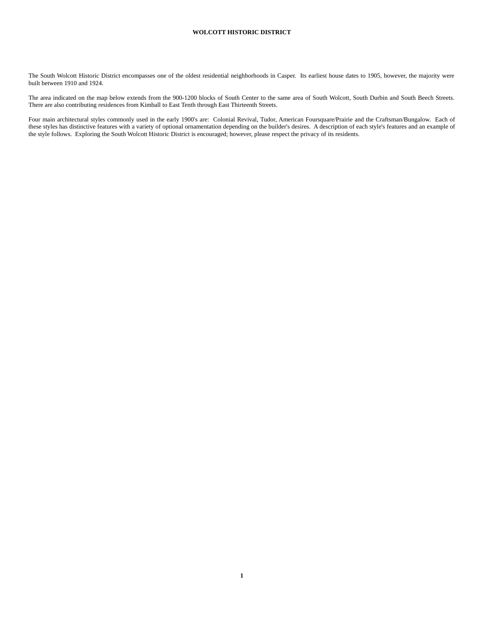The South Wolcott Historic District encompasses one of the oldest residential neighborhoods in Casper. Its earliest house dates to 1905, however, the majority were built between 1910 and 1924.

The area indicated on the map below extends from the 900-1200 blocks of South Center to the same area of South Wolcott, South Durbin and South Beech Streets. There are also contributing residences from Kimball to East Tenth through East Thirteenth Streets.

Four main architectural styles commonly used in the early 1900's are: Colonial Revival, Tudor, American Foursquare/Prairie and the Craftsman/Bungalow. Each of these styles has distinctive features with a variety of optional ornamentation depending on the builder's desires. A description of each style's features and an example of the style follows. Exploring the South Wolcott Historic District is encouraged; however, please respect the privacy of its residents.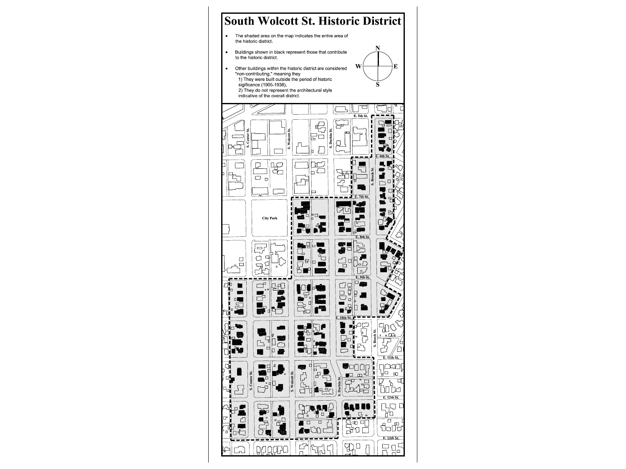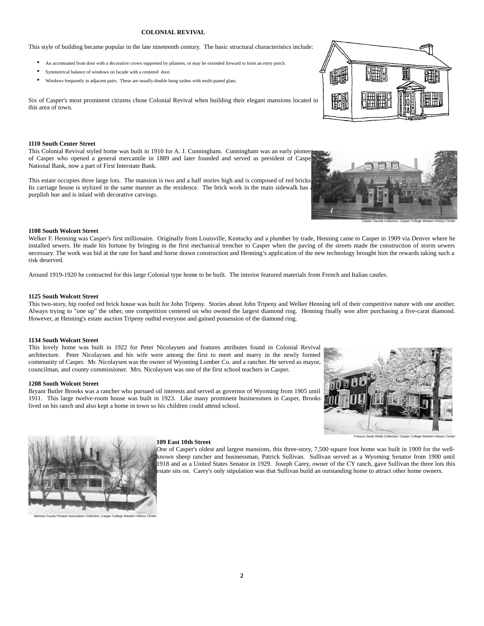## **COLONIAL REVIVAL**

This style of building became popular in the late nineteenth century. The basic structural characteristics include:

- An accentuated front door with a decorative crown supported by pilasters, or may be extended forward to form an entry porch.
- Symmetrical balance of windows on facade with a centered door.
- Windows frequently in adjacent pairs. These are usually double hung sashes with multi-paned glass.

Six of Casper's most prominent citizens chose Colonial Revival when building their elegant mansions located in this area of town.

## **1110 South Center Street**

This Colonial Revival styled home was built in 1910 for A. J. Cunningham. Cunningham was an early pioneer of Casper who opened a general mercantile in 1889 and later founded and served as president of Casper National Bank, now a part of First Interstate Bank.

This estate occupies three large lots. The mansion is two and a half stories high and is composed of red bricks. Its carriage house is stylized in the same manner as the residence. The brick work in the main sidewalk has purplish hue and is inlaid with decorative carvings.



Casper Journal Collection, Casper College Western History Center

#### **1108 South Wolcott Street**

Welker F. Henning was Casper's first millionaire. Originally from Louisville, Kentucky and a plumber by trade, Henning came to Casper in 1909 via Denver where he installed sewers. He made his fortune by bringing in the first mechanical trencher to Casper when the paving of the streets made the construction of storm sewers necessary. The work was bid at the rate for hand and horse drawn construction and Henning's application of the new technology brought him the rewards taking such a risk deserved.

Around 1919-1920 he contracted for this large Colonial type home to be built. The interior featured materials from French and Italian castles.

#### **1125 South Wolcott Street**

This two-story, hip roofed red brick house was built for John Tripeny. Stories about John Tripeny and Welker Henning tell of their competitive nature with one another. Always trying to "one up" the other, one competition centered on who owned the largest diamond ring. Henning finally won after purchasing a five-carat diamond. However, at Henning's estate auction Tripeny outbid everyone and gained possession of the diamond ring.

### **1134 South Wolcott Street**

This lovely home was built in 1922 for Peter Nicolaysen and features attributes found in Colonial Revival architecture. Peter Nicolaysen and his wife were among the first to meet and marry in the newly formed community of Casper. Mr. Nicolaysen was the owner of Wyoming Lumber Co. and a rancher. He served as mayor, councilman, and county commissioner. Mrs. Nicolaysen was one of the first school teachers in Casper.

#### **1208 South Wolcott Street**

Bryant Butler Brooks was a rancher who pursued oil interests and served as governor of Wyoming from 1905 until 1911. This large twelve-room house was built in 1923. Like many prominent businessmen in Casper, Brooks lived on his ranch and also kept a home in town so his children could attend school.







ection, Casper College Western

#### **109 East 10th Street**

One of Casper's oldest and largest mansions, this three-story, 7,500 square foot home was built in 1909 for the wellknown sheep rancher and businessman, Patrick Sullivan. Sullivan served as a Wyoming Senator from 1900 until 1918 and as a United States Senator in 1929. Joseph Carey, owner of the CY ranch, gave Sullivan the three lots this estate sits on. Carey's only stipulation was that Sullivan build an outstanding home to attract other home owners.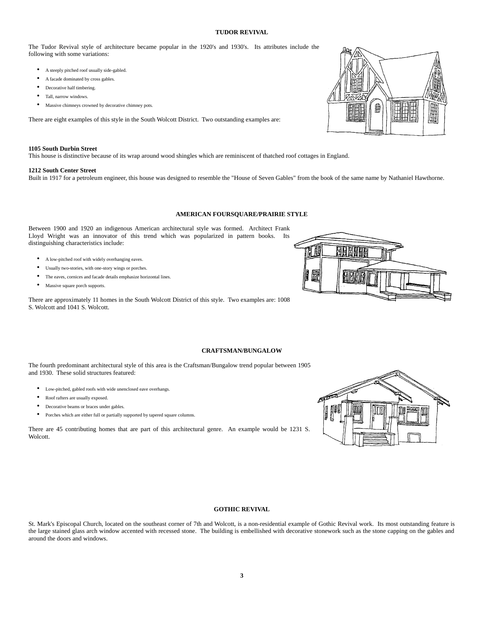# **TUDOR REVIVAL**

The Tudor Revival style of architecture became popular in the 1920's and 1930's. Its attributes include the following with some variations:

- A steeply pitched roof usually side-gabled.
- A facade dominated by cross gables.
- Decorative half timbering.
- Tall, narrow windows.
- Massive chimneys crowned by decorative chimney pots.

There are eight examples of this style in the South Wolcott District. Two outstanding examples are:

#### **1105 South Durbin Street**

This house is distinctive because of its wrap around wood shingles which are reminiscent of thatched roof cottages in England.

#### **1212 South Center Street**

Built in 1917 for a petroleum engineer, this house was designed to resemble the "House of Seven Gables" from the book of the same name by Nathaniel Hawthorne.

## **AMERICAN FOURSQUARE/PRAIRIE STYLE**

Between 1900 and 1920 an indigenous American architectural style was formed. Architect Frank Lloyd Wright was an innovator of this trend which was popularized in pattern books. Its distinguishing characteristics include:

- A low-pitched roof with widely overhanging eaves.
- Usually two-stories, with one-story wings or porches.
- The eaves, cornices and facade details emphasize horizontal lines.
- Massive square porch supports.

There are approximately 11 homes in the South Wolcott District of this style. Two examples are: 1008 S. Wolcott and 1041 S. Wolcott.



The fourth predominant architectural style of this area is the Craftsman/Bungalow trend popular between 1905 and 1930. These solid structures featured:

- Low-pitched, gabled roofs with wide unenclosed eave overhangs.
- Roof rafters are usually exposed.
- Decorative beams or braces under gables.
- Porches which are either full or partially supported by tapered square columns.

There are 45 contributing homes that are part of this architectural genre. An example would be 1231 S. Wolcott.

## **GOTHIC REVIVAL**

St. Mark's Episcopal Church, located on the southeast corner of 7th and Wolcott, is a non-residential example of Gothic Revival work. Its most outstanding feature is the large stained glass arch window accented with recessed stone. The building is embellished with decorative stonework such as the stone capping on the gables and around the doors and windows.





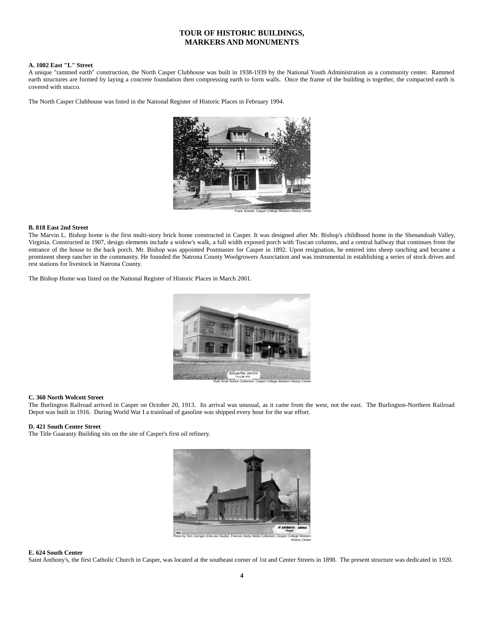# **TOUR OF HISTORIC BUILDINGS, MARKERS AND MONUMENTS**

# **A. 1002 East "L" Street**

A unique "rammed earth" construction, the North Casper Clubhouse was built in 1938-1939 by the National Youth Administration as a community center. Rammed earth structures are formed by laying a concrete foundation then compressing earth to form walls. Once the frame of the building is together, the compacted earth is covered with stucco.

The North Casper Clubhouse was listed in the National Register of Historic Places in February 1994.



### **B. 818 East 2nd Street**

The Marvin L. Bishop home is the first multi-story brick home constructed in Casper. It was designed after Mr. Bishop's childhood home in the Shenandoah Valley, Virginia. Constructed in 1907, design elements include a widow's walk, a full width exposed porch with Tuscan columns, and a central hallway that continues from the entrance of the house to the back porch. Mr. Bishop was appointed Postmaster for Casper in 1892. Upon resignation, he entered into sheep ranching and became a prominent sheep rancher in the community. He founded the Natrona County Woolgrowers Association and was instrumental in establishing a series of stock drives and rest stations for livestock in Natrona County.

The Bishop Home was listed on the National Register of Historic Places in March 2001.



## **C. 360 North Wolcott Street**

The Burlington Railroad arrived in Casper on October 20, 1913. Its arrival was unusual, as it came from the west, not the east. The Burlington-Northern Railroad Depot was built in 1916. During World War I a trainload of gasoline was shipped every hour for the war effort.

## **D. 421 South Center Street**

The Title Guaranty Building sits on the site of Casper's first oil refinery.



Photo by Tom Carrigen (DeLuse Studio). Frances Seely Webb Collection, Casper College Western History Center

### **E. 624 South Center**

Saint Anthony's, the first Catholic Church in Casper, was located at the southeast corner of 1st and Center Streets in 1898. The present structure was dedicated in 1920.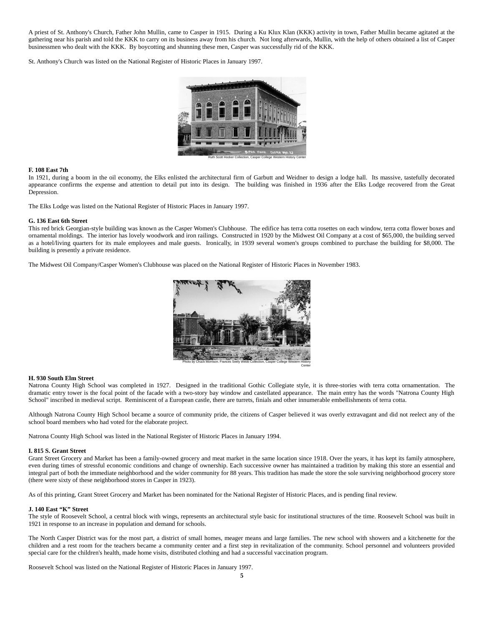A priest of St. Anthony's Church, Father John Mullin, came to Casper in 1915. During a Ku Klux Klan (KKK) activity in town, Father Mullin became agitated at the gathering near his parish and told the KKK to carry on its business away from his church. Not long afterwards, Mullin, with the help of others obtained a list of Casper businessmen who dealt with the KKK. By boycotting and shunning these men, Casper was successfully rid of the KKK.

St. Anthony's Church was listed on the National Register of Historic Places in January 1997.



### **F. 108 East 7th**

In 1921, during a boom in the oil economy, the Elks enlisted the architectural firm of Garbutt and Weidner to design a lodge hall. Its massive, tastefully decorated appearance confirms the expense and attention to detail put into its design. The building was finished in 1936 after the Elks Lodge recovered from the Great Depression.

The Elks Lodge was listed on the National Register of Historic Places in January 1997.

### **G. 136 East 6th Street**

This red brick Georgian-style building was known as the Casper Women's Clubhouse. The edifice has terra cotta rosettes on each window, terra cotta flower boxes and ornamental moldings. The interior has lovely woodwork and iron railings. Constructed in 1920 by the Midwest Oil Company at a cost of \$65,000, the building served as a hotel/living quarters for its male employees and male guests. Ironically, in 1939 several women's groups combined to purchase the building for \$8,000. The building is presently a private residence.

The Midwest Oil Company/Casper Women's Clubhouse was placed on the National Register of Historic Places in November 1983.



## **H. 930 South Elm Street**

Natrona County High School was completed in 1927. Designed in the traditional Gothic Collegiate style, it is three-stories with terra cotta ornamentation. The dramatic entry tower is the focal point of the facade with a two-story bay window and castellated appearance. The main entry has the words "Natrona County High School" inscribed in medieval script. Reminiscent of a European castle, there are turrets, finials and other innumerable embellishments of terra cotta.

Although Natrona County High School became a source of community pride, the citizens of Casper believed it was overly extravagant and did not reelect any of the school board members who had voted for the elaborate project.

Natrona County High School was listed in the National Register of Historic Places in January 1994.

## **I. 815 S. Grant Street**

Grant Street Grocery and Market has been a family-owned grocery and meat market in the same location since 1918. Over the years, it has kept its family atmosphere, even during times of stressful economic conditions and change of ownership. Each successive owner has maintained a tradition by making this store an essential and integral part of both the immediate neighborhood and the wider community for 88 years. This tradition has made the store the sole surviving neighborhood grocery store (there were sixty of these neighborhood stores in Casper in 1923).

As of this printing, Grant Street Grocery and Market has been nominated for the National Register of Historic Places, and is pending final review.

## **J. 140 East "K" Street**

The style of Roosevelt School, a central block with wings, represents an architectural style basic for institutional structures of the time. Roosevelt School was built in 1921 in response to an increase in population and demand for schools.

The North Casper District was for the most part, a district of small homes, meager means and large families. The new school with showers and a kitchenette for the children and a rest room for the teachers became a community center and a first step in revitalization of the community. School personnel and volunteers provided special care for the children's health, made home visits, distributed clothing and had a successful vaccination program.

Roosevelt School was listed on the National Register of Historic Places in January 1997.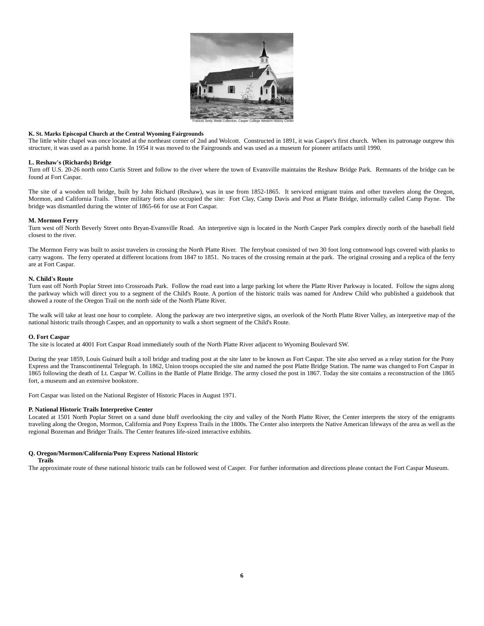

## **K. St. Marks Episcopal Church at the Central Wyoming Fairgrounds**

The little white chapel was once located at the northeast corner of 2nd and Wolcott. Constructed in 1891, it was Casper's first church. When its patronage outgrew this structure, it was used as a parish home. In 1954 it was moved to the Fairgrounds and was used as a museum for pioneer artifacts until 1990.

## **L. Reshaw's (Richards) Bridge**

Turn off U.S. 20-26 north onto Curtis Street and follow to the river where the town of Evansville maintains the Reshaw Bridge Park. Remnants of the bridge can be found at Fort Caspar.

The site of a wooden toll bridge, built by John Richard (Reshaw), was in use from 1852-1865. It serviced emigrant trains and other travelers along the Oregon, Mormon, and California Trails. Three military forts also occupied the site: Fort Clay, Camp Davis and Post at Platte Bridge, informally called Camp Payne. The bridge was dismantled during the winter of 1865-66 for use at Fort Caspar.

## **M. Mormon Ferry**

Turn west off North Beverly Street onto Bryan-Evansville Road. An interpretive sign is located in the North Casper Park complex directly north of the baseball field closest to the river.

The Mormon Ferry was built to assist travelers in crossing the North Platte River. The ferryboat consisted of two 30 foot long cottonwood logs covered with planks to carry wagons. The ferry operated at different locations from 1847 to 1851. No traces of the crossing remain at the park. The original crossing and a replica of the ferry are at Fort Caspar.

## **N. Child's Route**

Turn east off North Poplar Street into Crossroads Park. Follow the road east into a large parking lot where the Platte River Parkway is located. Follow the signs along the parkway which will direct you to a segment of the Child's Route. A portion of the historic trails was named for Andrew Child who published a guidebook that showed a route of the Oregon Trail on the north side of the North Platte River.

The walk will take at least one hour to complete. Along the parkway are two interpretive signs, an overlook of the North Platte River Valley, an interpretive map of the national historic trails through Casper, and an opportunity to walk a short segment of the Child's Route.

## **O. Fort Caspar**

The site is located at 4001 Fort Caspar Road immediately south of the North Platte River adjacent to Wyoming Boulevard SW.

During the year 1859, Louis Guinard built a toll bridge and trading post at the site later to be known as Fort Caspar. The site also served as a relay station for the Pony Express and the Transcontinental Telegraph. In 1862, Union troops occupied the site and named the post Platte Bridge Station. The name was changed to Fort Caspar in 1865 following the death of Lt. Caspar W. Collins in the Battle of Platte Bridge. The army closed the post in 1867. Today the site contains a reconstruction of the 1865 fort, a museum and an extensive bookstore.

Fort Caspar was listed on the National Register of Historic Places in August 1971.

## **P. National Historic Trails Interpretive Center**

Located at 1501 North Poplar Street on a sand dune bluff overlooking the city and valley of the North Platte River, the Center interprets the story of the emigrants traveling along the Oregon, Mormon, California and Pony Express Trails in the 1800s. The Center also interprets the Native American lifeways of the area as well as the regional Bozeman and Bridger Trails. The Center features life-sized interactive exhibits.

# **Q. Oregon/Mormon/California/Pony Express National Historic**

# **Trails**

The approximate route of these national historic trails can be followed west of Casper. For further information and directions please contact the Fort Caspar Museum.